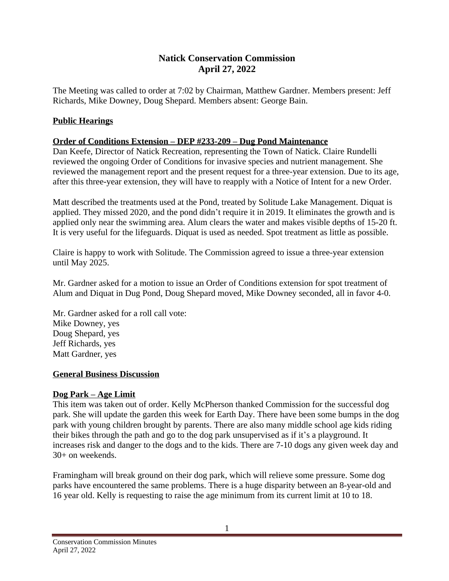# **Natick Conservation Commission April 27, 2022**

The Meeting was called to order at 7:02 by Chairman, Matthew Gardner. Members present: Jeff Richards, Mike Downey, Doug Shepard. Members absent: George Bain.

# **Public Hearings**

### **Order of Conditions Extension – DEP #233-209 – Dug Pond Maintenance**

Dan Keefe, Director of Natick Recreation, representing the Town of Natick. Claire Rundelli reviewed the ongoing Order of Conditions for invasive species and nutrient management. She reviewed the management report and the present request for a three-year extension. Due to its age, after this three-year extension, they will have to reapply with a Notice of Intent for a new Order.

Matt described the treatments used at the Pond, treated by Solitude Lake Management. Diquat is applied. They missed 2020, and the pond didn't require it in 2019. It eliminates the growth and is applied only near the swimming area. Alum clears the water and makes visible depths of 15-20 ft. It is very useful for the lifeguards. Diquat is used as needed. Spot treatment as little as possible.

Claire is happy to work with Solitude. The Commission agreed to issue a three-year extension until May 2025.

Mr. Gardner asked for a motion to issue an Order of Conditions extension for spot treatment of Alum and Diquat in Dug Pond, Doug Shepard moved, Mike Downey seconded, all in favor 4-0.

Mr. Gardner asked for a roll call vote: Mike Downey, yes Doug Shepard, yes Jeff Richards, yes Matt Gardner, yes

### **General Business Discussion**

### **Dog Park – Age Limit**

This item was taken out of order. Kelly McPherson thanked Commission for the successful dog park. She will update the garden this week for Earth Day. There have been some bumps in the dog park with young children brought by parents. There are also many middle school age kids riding their bikes through the path and go to the dog park unsupervised as if it's a playground. It increases risk and danger to the dogs and to the kids. There are 7-10 dogs any given week day and 30+ on weekends.

Framingham will break ground on their dog park, which will relieve some pressure. Some dog parks have encountered the same problems. There is a huge disparity between an 8-year-old and 16 year old. Kelly is requesting to raise the age minimum from its current limit at 10 to 18.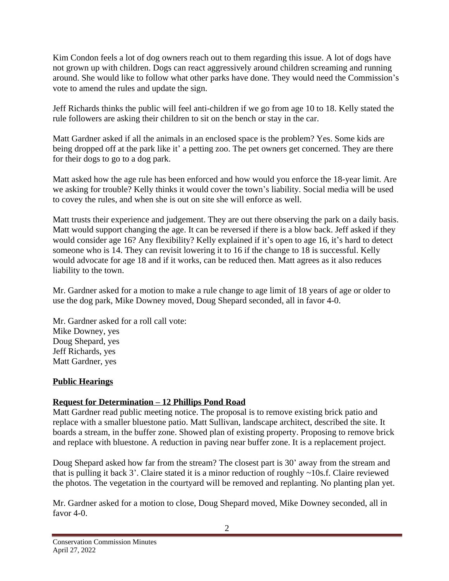Kim Condon feels a lot of dog owners reach out to them regarding this issue. A lot of dogs have not grown up with children. Dogs can react aggressively around children screaming and running around. She would like to follow what other parks have done. They would need the Commission's vote to amend the rules and update the sign.

Jeff Richards thinks the public will feel anti-children if we go from age 10 to 18. Kelly stated the rule followers are asking their children to sit on the bench or stay in the car.

Matt Gardner asked if all the animals in an enclosed space is the problem? Yes. Some kids are being dropped off at the park like it' a petting zoo. The pet owners get concerned. They are there for their dogs to go to a dog park.

Matt asked how the age rule has been enforced and how would you enforce the 18-year limit. Are we asking for trouble? Kelly thinks it would cover the town's liability. Social media will be used to covey the rules, and when she is out on site she will enforce as well.

Matt trusts their experience and judgement. They are out there observing the park on a daily basis. Matt would support changing the age. It can be reversed if there is a blow back. Jeff asked if they would consider age 16? Any flexibility? Kelly explained if it's open to age 16, it's hard to detect someone who is 14. They can revisit lowering it to 16 if the change to 18 is successful. Kelly would advocate for age 18 and if it works, can be reduced then. Matt agrees as it also reduces liability to the town.

Mr. Gardner asked for a motion to make a rule change to age limit of 18 years of age or older to use the dog park, Mike Downey moved, Doug Shepard seconded, all in favor 4-0.

Mr. Gardner asked for a roll call vote: Mike Downey, yes Doug Shepard, yes Jeff Richards, yes Matt Gardner, yes

### **Public Hearings**

# **Request for Determination – 12 Phillips Pond Road**

Matt Gardner read public meeting notice. The proposal is to remove existing brick patio and replace with a smaller bluestone patio. Matt Sullivan, landscape architect, described the site. It boards a stream, in the buffer zone. Showed plan of existing property. Proposing to remove brick and replace with bluestone. A reduction in paving near buffer zone. It is a replacement project.

Doug Shepard asked how far from the stream? The closest part is 30' away from the stream and that is pulling it back 3'. Claire stated it is a minor reduction of roughly ~10s.f. Claire reviewed the photos. The vegetation in the courtyard will be removed and replanting. No planting plan yet.

Mr. Gardner asked for a motion to close, Doug Shepard moved, Mike Downey seconded, all in favor 4-0.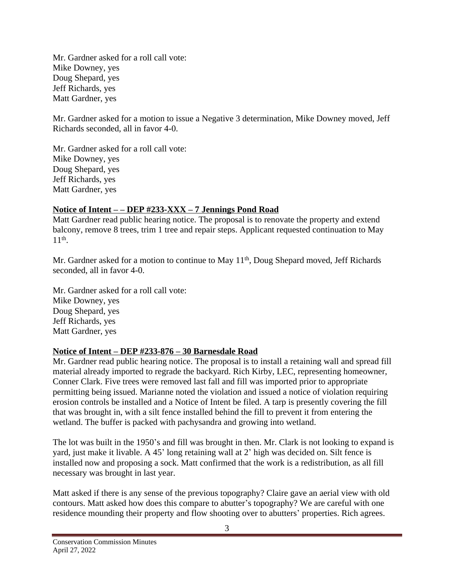Mr. Gardner asked for a roll call vote: Mike Downey, yes Doug Shepard, yes Jeff Richards, yes Matt Gardner, yes

Mr. Gardner asked for a motion to issue a Negative 3 determination, Mike Downey moved, Jeff Richards seconded, all in favor 4-0.

Mr. Gardner asked for a roll call vote: Mike Downey, yes Doug Shepard, yes Jeff Richards, yes Matt Gardner, yes

## **Notice of Intent – – DEP #233-XXX – 7 Jennings Pond Road**

Matt Gardner read public hearing notice. The proposal is to renovate the property and extend balcony, remove 8 trees, trim 1 tree and repair steps. Applicant requested continuation to May 11th .

Mr. Gardner asked for a motion to continue to May 11<sup>th</sup>, Doug Shepard moved, Jeff Richards seconded, all in favor 4-0.

Mr. Gardner asked for a roll call vote: Mike Downey, yes Doug Shepard, yes Jeff Richards, yes Matt Gardner, yes

### **Notice of Intent – DEP #233-876 – 30 Barnesdale Road**

Mr. Gardner read public hearing notice. The proposal is to install a retaining wall and spread fill material already imported to regrade the backyard. Rich Kirby, LEC, representing homeowner, Conner Clark. Five trees were removed last fall and fill was imported prior to appropriate permitting being issued. Marianne noted the violation and issued a notice of violation requiring erosion controls be installed and a Notice of Intent be filed. A tarp is presently covering the fill that was brought in, with a silt fence installed behind the fill to prevent it from entering the wetland. The buffer is packed with pachysandra and growing into wetland.

The lot was built in the 1950's and fill was brought in then. Mr. Clark is not looking to expand is yard, just make it livable. A 45' long retaining wall at 2' high was decided on. Silt fence is installed now and proposing a sock. Matt confirmed that the work is a redistribution, as all fill necessary was brought in last year.

Matt asked if there is any sense of the previous topography? Claire gave an aerial view with old contours. Matt asked how does this compare to abutter's topography? We are careful with one residence mounding their property and flow shooting over to abutters' properties. Rich agrees.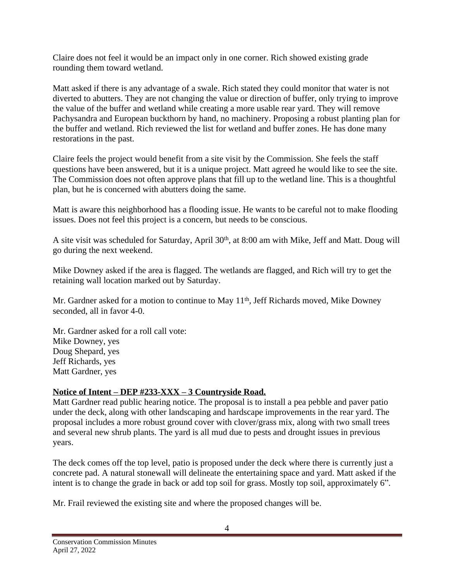Claire does not feel it would be an impact only in one corner. Rich showed existing grade rounding them toward wetland.

Matt asked if there is any advantage of a swale. Rich stated they could monitor that water is not diverted to abutters. They are not changing the value or direction of buffer, only trying to improve the value of the buffer and wetland while creating a more usable rear yard. They will remove Pachysandra and European buckthorn by hand, no machinery. Proposing a robust planting plan for the buffer and wetland. Rich reviewed the list for wetland and buffer zones. He has done many restorations in the past.

Claire feels the project would benefit from a site visit by the Commission. She feels the staff questions have been answered, but it is a unique project. Matt agreed he would like to see the site. The Commission does not often approve plans that fill up to the wetland line. This is a thoughtful plan, but he is concerned with abutters doing the same.

Matt is aware this neighborhood has a flooding issue. He wants to be careful not to make flooding issues. Does not feel this project is a concern, but needs to be conscious.

A site visit was scheduled for Saturday, April 30<sup>th</sup>, at 8:00 am with Mike, Jeff and Matt. Doug will go during the next weekend.

Mike Downey asked if the area is flagged. The wetlands are flagged, and Rich will try to get the retaining wall location marked out by Saturday.

Mr. Gardner asked for a motion to continue to May 11<sup>th</sup>, Jeff Richards moved, Mike Downey seconded, all in favor 4-0.

Mr. Gardner asked for a roll call vote: Mike Downey, yes Doug Shepard, yes Jeff Richards, yes Matt Gardner, yes

### **Notice of Intent – DEP #233-XXX – 3 Countryside Road.**

Matt Gardner read public hearing notice. The proposal is to install a pea pebble and paver patio under the deck, along with other landscaping and hardscape improvements in the rear yard. The proposal includes a more robust ground cover with clover/grass mix, along with two small trees and several new shrub plants. The yard is all mud due to pests and drought issues in previous years.

The deck comes off the top level, patio is proposed under the deck where there is currently just a concrete pad. A natural stonewall will delineate the entertaining space and yard. Matt asked if the intent is to change the grade in back or add top soil for grass. Mostly top soil, approximately 6".

Mr. Frail reviewed the existing site and where the proposed changes will be.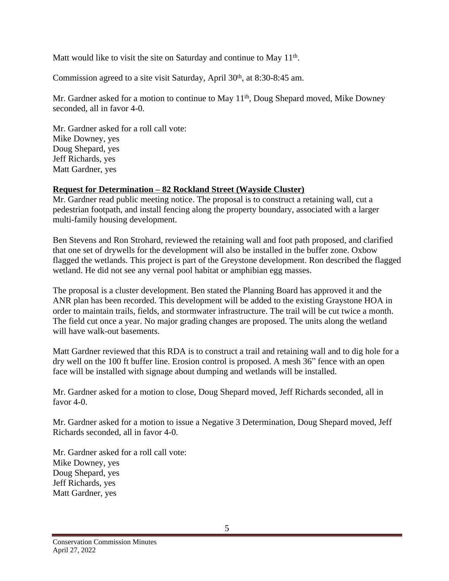Matt would like to visit the site on Saturday and continue to May 11<sup>th</sup>.

Commission agreed to a site visit Saturday, April 30<sup>th</sup>, at 8:30-8:45 am.

Mr. Gardner asked for a motion to continue to May 11<sup>th</sup>, Doug Shepard moved, Mike Downey seconded, all in favor 4-0.

Mr. Gardner asked for a roll call vote: Mike Downey, yes Doug Shepard, yes Jeff Richards, yes Matt Gardner, yes

### **Request for Determination – 82 Rockland Street (Wayside Cluster)**

Mr. Gardner read public meeting notice. The proposal is to construct a retaining wall, cut a pedestrian footpath, and install fencing along the property boundary, associated with a larger multi-family housing development.

Ben Stevens and Ron Strohard, reviewed the retaining wall and foot path proposed, and clarified that one set of drywells for the development will also be installed in the buffer zone. Oxbow flagged the wetlands. This project is part of the Greystone development. Ron described the flagged wetland. He did not see any vernal pool habitat or amphibian egg masses.

The proposal is a cluster development. Ben stated the Planning Board has approved it and the ANR plan has been recorded. This development will be added to the existing Graystone HOA in order to maintain trails, fields, and stormwater infrastructure. The trail will be cut twice a month. The field cut once a year. No major grading changes are proposed. The units along the wetland will have walk-out basements.

Matt Gardner reviewed that this RDA is to construct a trail and retaining wall and to dig hole for a dry well on the 100 ft buffer line. Erosion control is proposed. A mesh 36" fence with an open face will be installed with signage about dumping and wetlands will be installed.

Mr. Gardner asked for a motion to close, Doug Shepard moved, Jeff Richards seconded, all in favor 4-0.

Mr. Gardner asked for a motion to issue a Negative 3 Determination, Doug Shepard moved, Jeff Richards seconded, all in favor 4-0.

Mr. Gardner asked for a roll call vote: Mike Downey, yes Doug Shepard, yes Jeff Richards, yes Matt Gardner, yes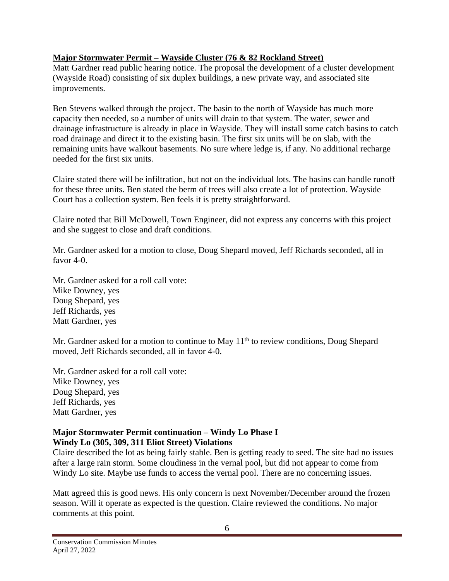## **Major Stormwater Permit – Wayside Cluster (76 & 82 Rockland Street)**

Matt Gardner read public hearing notice. The proposal the development of a cluster development (Wayside Road) consisting of six duplex buildings, a new private way, and associated site improvements.

Ben Stevens walked through the project. The basin to the north of Wayside has much more capacity then needed, so a number of units will drain to that system. The water, sewer and drainage infrastructure is already in place in Wayside. They will install some catch basins to catch road drainage and direct it to the existing basin. The first six units will be on slab, with the remaining units have walkout basements. No sure where ledge is, if any. No additional recharge needed for the first six units.

Claire stated there will be infiltration, but not on the individual lots. The basins can handle runoff for these three units. Ben stated the berm of trees will also create a lot of protection. Wayside Court has a collection system. Ben feels it is pretty straightforward.

Claire noted that Bill McDowell, Town Engineer, did not express any concerns with this project and she suggest to close and draft conditions.

Mr. Gardner asked for a motion to close, Doug Shepard moved, Jeff Richards seconded, all in favor 4-0.

Mr. Gardner asked for a roll call vote: Mike Downey, yes Doug Shepard, yes Jeff Richards, yes Matt Gardner, yes

Mr. Gardner asked for a motion to continue to May  $11<sup>th</sup>$  to review conditions, Doug Shepard moved, Jeff Richards seconded, all in favor 4-0.

Mr. Gardner asked for a roll call vote: Mike Downey, yes Doug Shepard, yes Jeff Richards, yes Matt Gardner, yes

### **Major Stormwater Permit continuation – Windy Lo Phase I Windy Lo (305, 309, 311 Eliot Street) Violations**

Claire described the lot as being fairly stable. Ben is getting ready to seed. The site had no issues after a large rain storm. Some cloudiness in the vernal pool, but did not appear to come from Windy Lo site. Maybe use funds to access the vernal pool. There are no concerning issues.

Matt agreed this is good news. His only concern is next November/December around the frozen season. Will it operate as expected is the question. Claire reviewed the conditions. No major comments at this point.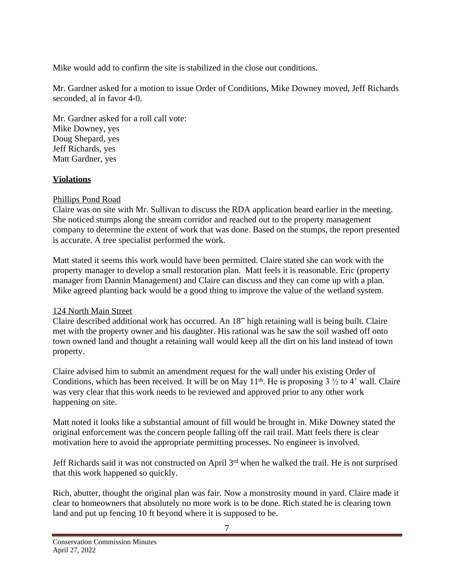Mike would add to confirm the site is stabilized in the close out conditions.

Mr. Gardner asked for a motion to issue Order of Conditions, Mike Downey moved, Jeff Richards seconded, al in favor 4-0.

Mr. Gardner asked for a roll call vote: Mike Downey, yes Doug Shepard, yes Jeff Richards, yes Matt Gardner, yes

## **Violations**

## Phillips Pond Road

Claire was on site with Mr. Sullivan to discuss the RDA application heard earlier in the meeting. She noticed stumps along the stream corridor and reached out to the property management company to determine the extent of work that was done. Based on the stumps, the report presented is accurate. A tree specialist performed the work.

Matt stated it seems this work would have been permitted. Claire stated she can work with the property manager to develop a small restoration plan. Matt feels it is reasonable. Eric (property manager from Dannin Management) and Claire can discuss and they can come up with a plan. Mike agreed planting back would be a good thing to improve the value of the wetland system.

# 124 North Main Street

Claire described additional work has occurred. An 18" high retaining wall is being built. Claire met with the property owner and his daughter. His rational was he saw the soil washed off onto town owned land and thought a retaining wall would keep all the dirt on his land instead of town property.

Claire advised him to submit an amendment request for the wall under his existing Order of Conditions, which has been received. It will be on May  $11<sup>th</sup>$ . He is proposing  $3\frac{1}{2}$  to  $4'$  wall. Claire was very clear that this work needs to be reviewed and approved prior to any other work happening on site.

Matt noted it looks like a substantial amount of fill would be brought in. Mike Downey stated the original enforcement was the concern people falling off the rail trail. Matt feels there is clear motivation here to avoid the appropriate permitting processes. No engineer is involved.

Jeff Richards said it was not constructed on April 3<sup>rd</sup> when he walked the trail. He is not surprised that this work happened so quickly.

Rich, abutter, thought the original plan was fair. Now a monstrosity mound in yard. Claire made it clear to homeowners that absolutely no more work is to be done. Rich stated he is clearing town land and put up fencing 10 ft beyond where it is supposed to be.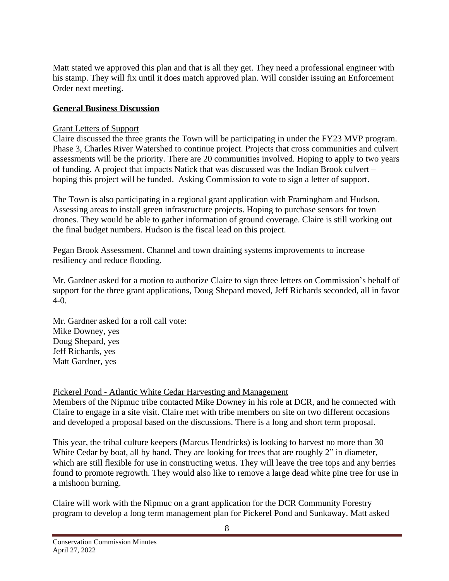Matt stated we approved this plan and that is all they get. They need a professional engineer with his stamp. They will fix until it does match approved plan. Will consider issuing an Enforcement Order next meeting.

#### **General Business Discussion**

#### Grant Letters of Support

Claire discussed the three grants the Town will be participating in under the FY23 MVP program. Phase 3, Charles River Watershed to continue project. Projects that cross communities and culvert assessments will be the priority. There are 20 communities involved. Hoping to apply to two years of funding. A project that impacts Natick that was discussed was the Indian Brook culvert – hoping this project will be funded. Asking Commission to vote to sign a letter of support.

The Town is also participating in a regional grant application with Framingham and Hudson. Assessing areas to install green infrastructure projects. Hoping to purchase sensors for town drones. They would be able to gather information of ground coverage. Claire is still working out the final budget numbers. Hudson is the fiscal lead on this project.

Pegan Brook Assessment. Channel and town draining systems improvements to increase resiliency and reduce flooding.

Mr. Gardner asked for a motion to authorize Claire to sign three letters on Commission's behalf of support for the three grant applications, Doug Shepard moved, Jeff Richards seconded, all in favor  $4-0.$ 

Mr. Gardner asked for a roll call vote: Mike Downey, yes Doug Shepard, yes Jeff Richards, yes Matt Gardner, yes

Pickerel Pond - Atlantic White Cedar Harvesting and Management

Members of the Nipmuc tribe contacted Mike Downey in his role at DCR, and he connected with Claire to engage in a site visit. Claire met with tribe members on site on two different occasions and developed a proposal based on the discussions. There is a long and short term proposal.

This year, the tribal culture keepers (Marcus Hendricks) is looking to harvest no more than 30 White Cedar by boat, all by hand. They are looking for trees that are roughly 2" in diameter, which are still flexible for use in constructing wetus. They will leave the tree tops and any berries found to promote regrowth. They would also like to remove a large dead white pine tree for use in a mishoon burning.

Claire will work with the Nipmuc on a grant application for the DCR Community Forestry program to develop a long term management plan for Pickerel Pond and Sunkaway. Matt asked